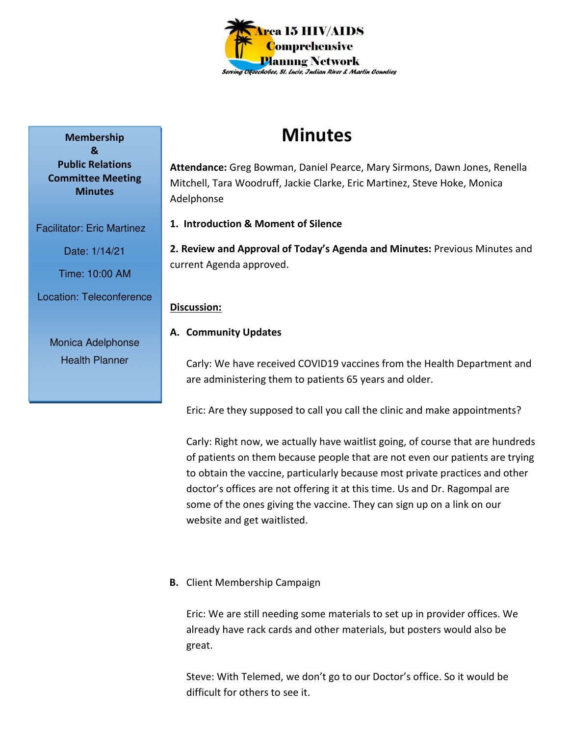

# **Minutes**

**Attendance:** Greg Bowman, Daniel Pearce, Mary Sirmons, Dawn Jones, Renella Mitchell, Tara Woodruff, Jackie Clarke, Eric Martinez, Steve Hoke, Monica Adelphonse

**1. Introduction & Moment of Silence** 

**2. Review and Approval of Today's Agenda and Minutes:** Previous Minutes and current Agenda approved.

## **Discussion:**

# **A. Community Updates**

Carly: We have received COVID19 vaccines from the Health Department and are administering them to patients 65 years and older.

Eric: Are they supposed to call you call the clinic and make appointments?

Carly: Right now, we actually have waitlist going, of course that are hundreds of patients on them because people that are not even our patients are trying to obtain the vaccine, particularly because most private practices and other doctor's offices are not offering it at this time. Us and Dr. Ragompal are some of the ones giving the vaccine. They can sign up on a link on our website and get waitlisted.

# **B.** Client Membership Campaign

Eric: We are still needing some materials to set up in provider offices. We already have rack cards and other materials, but posters would also be great.

Steve: With Telemed, we don't go to our Doctor's office. So it would be difficult for others to see it.

**Membership & Public Relations Committee Meeting Minutes** 

Facilitator: Eric Martinez

Date: 1/14/21

Time: 10:00 AM

Location: Teleconference

Monica Adelphonse Health Planner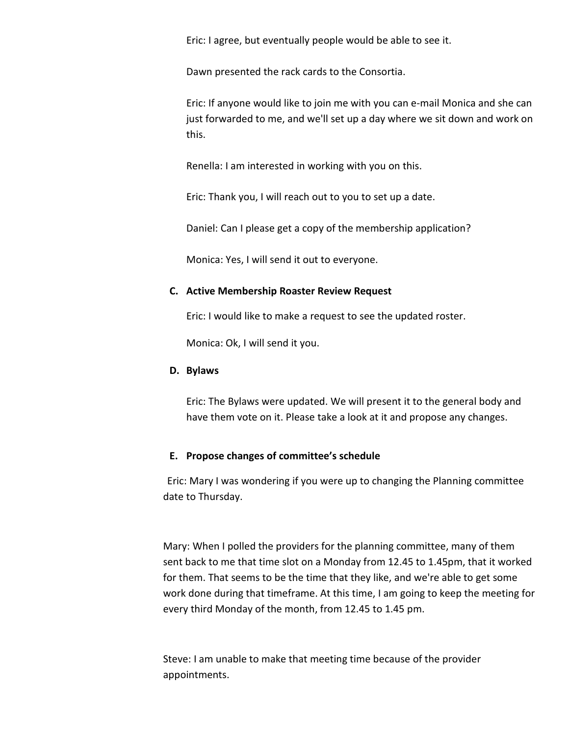Eric: I agree, but eventually people would be able to see it.

Dawn presented the rack cards to the Consortia.

Eric: If anyone would like to join me with you can e-mail Monica and she can just forwarded to me, and we'll set up a day where we sit down and work on this.

Renella: I am interested in working with you on this.

Eric: Thank you, I will reach out to you to set up a date.

Daniel: Can I please get a copy of the membership application?

Monica: Yes, I will send it out to everyone.

#### **C. Active Membership Roaster Review Request**

Eric: I would like to make a request to see the updated roster.

Monica: Ok, I will send it you.

#### **D. Bylaws**

Eric: The Bylaws were updated. We will present it to the general body and have them vote on it. Please take a look at it and propose any changes.

#### **E. Propose changes of committee's schedule**

Eric: Mary I was wondering if you were up to changing the Planning committee date to Thursday.

Mary: When I polled the providers for the planning committee, many of them sent back to me that time slot on a Monday from 12.45 to 1.45pm, that it worked for them. That seems to be the time that they like, and we're able to get some work done during that timeframe. At this time, I am going to keep the meeting for every third Monday of the month, from 12.45 to 1.45 pm.

Steve: I am unable to make that meeting time because of the provider appointments.